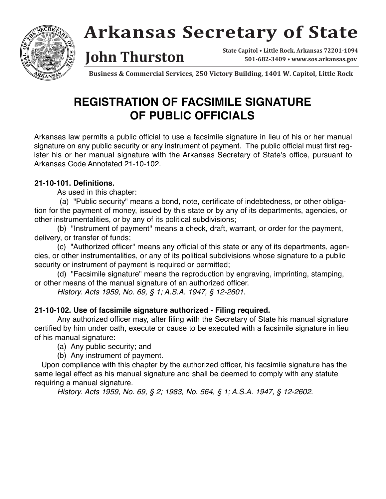

# **Arkansas Secretary of State**

**State Capitol • Little Rock, Arkansas 72201-1094 John Thurston 501-682-3409 • www.sos.arkansas.gov** 

**Business & Commercial Services, 250 Victory Building, 1401 W. Capitol, Little Rock**

### **REGISTRATION OF FACSIMILE SIGNATURE OF PUBLIC OFFICIALS**

Arkansas law permits a public official to use a facsimile signature in lieu of his or her manual signature on any public security or any instrument of payment. The public official must first register his or her manual signature with the Arkansas Secretary of State's office, pursuant to Arkansas Code Annotated 21-10-102.

#### **21-10-101. Definitions.**

As used in this chapter:

(a) "Public security" means a bond, note, certificate of indebtedness, or other obligation for the payment of money, issued by this state or by any of its departments, agencies, or other instrumentalities, or by any of its political subdivisions;

(b) "Instrument of payment" means a check, draft, warrant, or order for the payment, delivery, or transfer of funds;

(c) "Authorized officer" means any official of this state or any of its departments, agencies, or other instrumentalities, or any of its political subdivisions whose signature to a public security or instrument of payment is required or permitted;

(d) "Facsimile signature" means the reproduction by engraving, imprinting, stamping, or other means of the manual signature of an authorized officer.

History. Acts 1959, No. 69, § 1; A.S.A. 1947, § 12-2601.

#### **21-10-102. Use of facsimile signature authorized - Filing required.**

Any authorized officer may, after filing with the Secretary of State his manual signature certified by him under oath, execute or cause to be executed with a facsimile signature in lieu of his manual signature:

(a) Any public security; and

(b) Any instrument of payment.

Upon compliance with this chapter by the authorized officer, his facsimile signature has the same legal effect as his manual signature and shall be deemed to comply with any statute requiring a manual signature.

History. Acts 1959, No. 69, § 2; 1983, No. 564, § 1; A.S.A. 1947, § 12-2602.